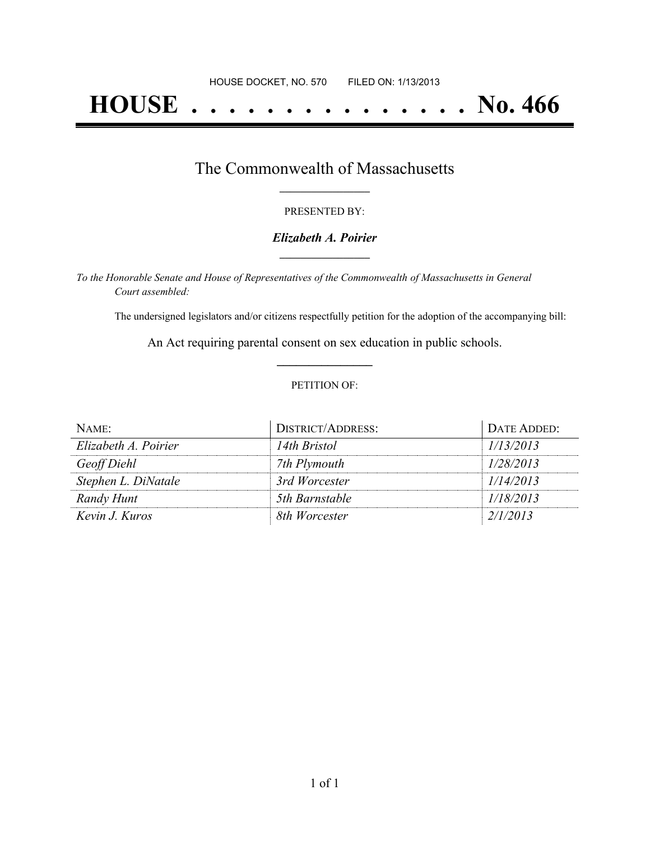# **HOUSE . . . . . . . . . . . . . . . No. 466**

## The Commonwealth of Massachusetts **\_\_\_\_\_\_\_\_\_\_\_\_\_\_\_\_\_**

#### PRESENTED BY:

#### *Elizabeth A. Poirier* **\_\_\_\_\_\_\_\_\_\_\_\_\_\_\_\_\_**

*To the Honorable Senate and House of Representatives of the Commonwealth of Massachusetts in General Court assembled:*

The undersigned legislators and/or citizens respectfully petition for the adoption of the accompanying bill:

An Act requiring parental consent on sex education in public schools. **\_\_\_\_\_\_\_\_\_\_\_\_\_\_\_**

#### PETITION OF:

| NAME:                | <b>DISTRICT/ADDRESS:</b> | DATE ADDED: |
|----------------------|--------------------------|-------------|
| Elizabeth A. Poirier | 14th Bristol             | 1/13/2013   |
| Geoff Diehl          | 7th Plymouth             | 1/28/2013   |
| Stephen L. DiNatale  | 3rd Worcester            | 1/14/2013   |
| Randy Hunt           | 5th Barnstable           | 1/18/2013   |
| Kevin J. Kuros       | 8th Worcester            | 2/1/2013    |